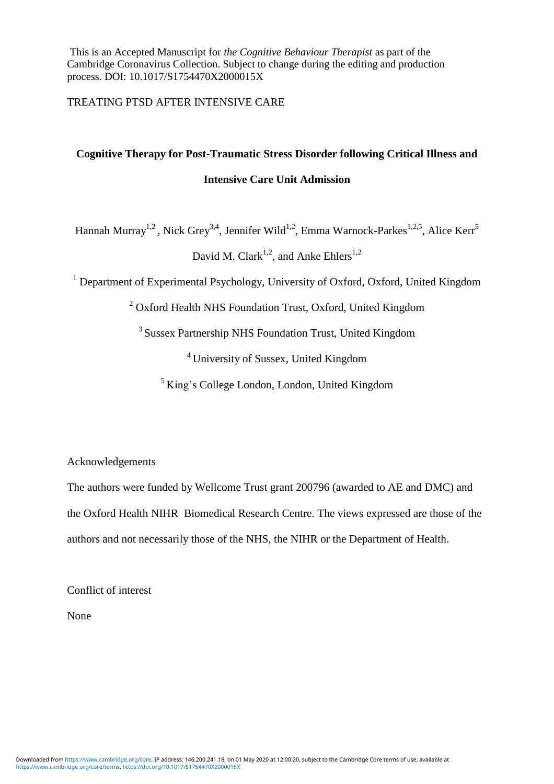This is an Accepted Manuscript for *the Cognitive Behaviour Therapist* as part of the Cambridge Coronavirus Collection. Subject to change during the editing and production process. DOI: 10.1017/S1754470X2000015X

TREATING PTSD AFTER INTENSIVE CARE

# **Cognitive Therapy for Post-Traumatic Stress Disorder following Critical Illness and Intensive Care Unit Admission**

Hannah Murray<sup>1,2</sup>, Nick Grey<sup>3,4</sup>, Jennifer Wild<sup>1,2</sup>, Emma Warnock-Parkes<sup>1,2,5</sup>, Alice Kerr<sup>5</sup>

David M. Clark<sup>1,2</sup>, and Anke Ehlers<sup>1,2</sup>

<sup>1</sup> Department of Experimental Psychology, University of Oxford, Oxford, United Kingdom

<sup>2</sup> Oxford Health NHS Foundation Trust, Oxford, United Kingdom

<sup>3</sup> Sussex Partnership NHS Foundation Trust, United Kingdom

<sup>4</sup> University of Sussex, United Kingdom

 $<sup>5</sup>$  King's College London, London, United Kingdom</sup>

Acknowledgements

The authors were funded by Wellcome Trust grant 200796 (awarded to AE and DMC) and the Oxford Health NIHR Biomedical Research Centre. The views expressed are those of the authors and not necessarily those of the NHS, the NIHR or the Department of Health.

Conflict of interest

None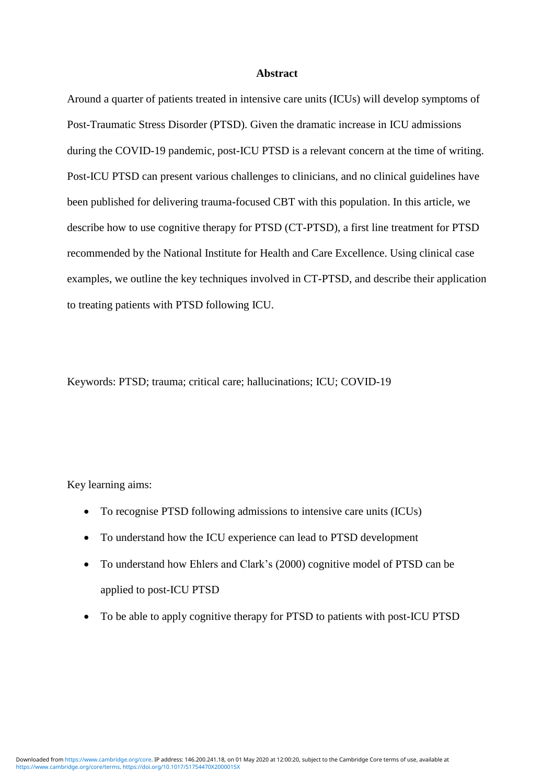#### **Abstract**

Around a quarter of patients treated in intensive care units (ICUs) will develop symptoms of Post-Traumatic Stress Disorder (PTSD). Given the dramatic increase in ICU admissions during the COVID-19 pandemic, post-ICU PTSD is a relevant concern at the time of writing. Post-ICU PTSD can present various challenges to clinicians, and no clinical guidelines have been published for delivering trauma-focused CBT with this population. In this article, we describe how to use cognitive therapy for PTSD (CT-PTSD), a first line treatment for PTSD recommended by the National Institute for Health and Care Excellence. Using clinical case examples, we outline the key techniques involved in CT-PTSD, and describe their application to treating patients with PTSD following ICU.

Keywords: PTSD; trauma; critical care; hallucinations; ICU; COVID-19

Key learning aims:

- To recognise PTSD following admissions to intensive care units (ICUs)
- To understand how the ICU experience can lead to PTSD development
- To understand how Ehlers and Clark's (2000) cognitive model of PTSD can be applied to post-ICU PTSD
- To be able to apply cognitive therapy for PTSD to patients with post-ICU PTSD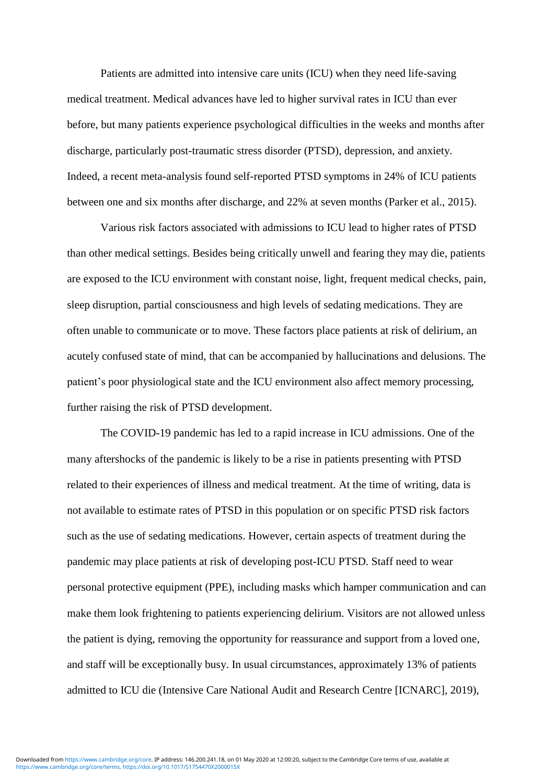Patients are admitted into intensive care units (ICU) when they need life-saving medical treatment. Medical advances have led to higher survival rates in ICU than ever before, but many patients experience psychological difficulties in the weeks and months after discharge, particularly post-traumatic stress disorder (PTSD), depression, and anxiety. Indeed, a recent meta-analysis found self-reported PTSD symptoms in 24% of ICU patients between one and six months after discharge, and 22% at seven months (Parker et al., 2015).

Various risk factors associated with admissions to ICU lead to higher rates of PTSD than other medical settings. Besides being critically unwell and fearing they may die, patients are exposed to the ICU environment with constant noise, light, frequent medical checks, pain, sleep disruption, partial consciousness and high levels of sedating medications. They are often unable to communicate or to move. These factors place patients at risk of delirium, an acutely confused state of mind, that can be accompanied by hallucinations and delusions. The patient's poor physiological state and the ICU environment also affect memory processing, further raising the risk of PTSD development.

The COVID-19 pandemic has led to a rapid increase in ICU admissions. One of the many aftershocks of the pandemic is likely to be a rise in patients presenting with PTSD related to their experiences of illness and medical treatment. At the time of writing, data is not available to estimate rates of PTSD in this population or on specific PTSD risk factors such as the use of sedating medications. However, certain aspects of treatment during the pandemic may place patients at risk of developing post-ICU PTSD. Staff need to wear personal protective equipment (PPE), including masks which hamper communication and can make them look frightening to patients experiencing delirium. Visitors are not allowed unless the patient is dying, removing the opportunity for reassurance and support from a loved one, and staff will be exceptionally busy. In usual circumstances, approximately 13% of patients admitted to ICU die (Intensive Care National Audit and Research Centre [ICNARC], 2019),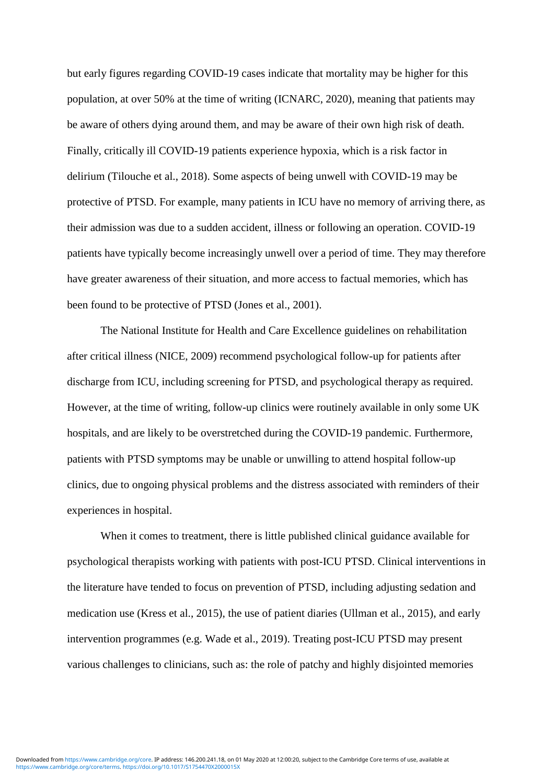but early figures regarding COVID-19 cases indicate that mortality may be higher for this population, at over 50% at the time of writing (ICNARC, 2020), meaning that patients may be aware of others dying around them, and may be aware of their own high risk of death. Finally, critically ill COVID-19 patients experience hypoxia, which is a risk factor in delirium (Tilouche et al., 2018). Some aspects of being unwell with COVID-19 may be protective of PTSD. For example, many patients in ICU have no memory of arriving there, as their admission was due to a sudden accident, illness or following an operation. COVID-19 patients have typically become increasingly unwell over a period of time. They may therefore have greater awareness of their situation, and more access to factual memories, which has been found to be protective of PTSD (Jones et al., 2001).

The National Institute for Health and Care Excellence guidelines on rehabilitation after critical illness (NICE, 2009) recommend psychological follow-up for patients after discharge from ICU, including screening for PTSD, and psychological therapy as required. However, at the time of writing, follow-up clinics were routinely available in only some UK hospitals, and are likely to be overstretched during the COVID-19 pandemic. Furthermore, patients with PTSD symptoms may be unable or unwilling to attend hospital follow-up clinics, due to ongoing physical problems and the distress associated with reminders of their experiences in hospital.

When it comes to treatment, there is little published clinical guidance available for psychological therapists working with patients with post-ICU PTSD. Clinical interventions in the literature have tended to focus on prevention of PTSD, including adjusting sedation and medication use (Kress et al., 2015), the use of patient diaries (Ullman et al., 2015), and early intervention programmes (e.g. Wade et al., 2019). Treating post-ICU PTSD may present various challenges to clinicians, such as: the role of patchy and highly disjointed memories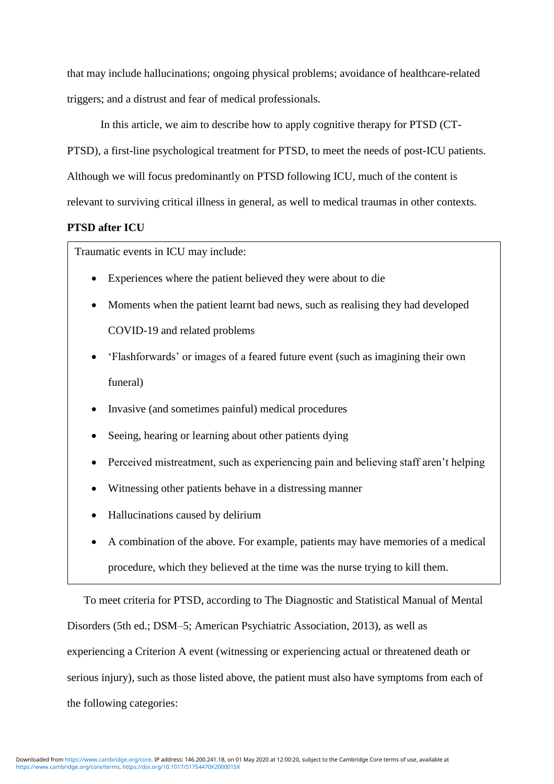that may include hallucinations; ongoing physical problems; avoidance of healthcare-related triggers; and a distrust and fear of medical professionals.

In this article, we aim to describe how to apply cognitive therapy for PTSD (CT-PTSD), a first-line psychological treatment for PTSD, to meet the needs of post-ICU patients. Although we will focus predominantly on PTSD following ICU, much of the content is relevant to surviving critical illness in general, as well to medical traumas in other contexts.

## **PTSD after ICU**

Traumatic events in ICU may include:

- Experiences where the patient believed they were about to die
- Moments when the patient learnt bad news, such as realising they had developed COVID-19 and related problems
- 'Flashforwards' or images of a feared future event (such as imagining their own funeral)
- Invasive (and sometimes painful) medical procedures
- Seeing, hearing or learning about other patients dying
- Perceived mistreatment, such as experiencing pain and believing staff aren't helping
- Witnessing other patients behave in a distressing manner
- Hallucinations caused by delirium
- A combination of the above. For example, patients may have memories of a medical procedure, which they believed at the time was the nurse trying to kill them.

To meet criteria for PTSD, according to The Diagnostic and Statistical Manual of Mental Disorders (5th ed.; DSM–5; American Psychiatric Association, 2013), as well as experiencing a Criterion A event (witnessing or experiencing actual or threatened death or serious injury), such as those listed above, the patient must also have symptoms from each of the following categories: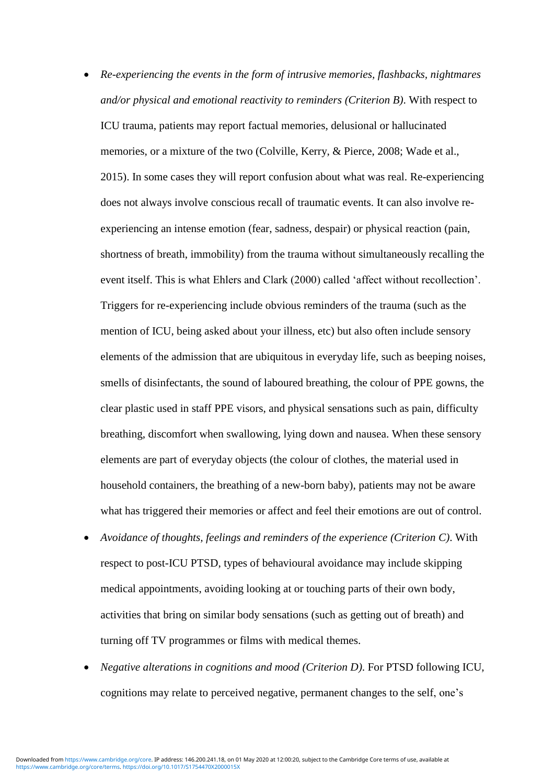- *Re-experiencing the events in the form of intrusive memories, flashbacks, nightmares and/or physical and emotional reactivity to reminders (Criterion B)*. With respect to ICU trauma, patients may report factual memories, delusional or hallucinated memories, or a mixture of the two (Colville, Kerry, & Pierce, 2008; Wade et al., 2015). In some cases they will report confusion about what was real. Re-experiencing does not always involve conscious recall of traumatic events. It can also involve reexperiencing an intense emotion (fear, sadness, despair) or physical reaction (pain, shortness of breath, immobility) from the trauma without simultaneously recalling the event itself. This is what Ehlers and Clark (2000) called 'affect without recollection'. Triggers for re-experiencing include obvious reminders of the trauma (such as the mention of ICU, being asked about your illness, etc) but also often include sensory elements of the admission that are ubiquitous in everyday life, such as beeping noises, smells of disinfectants, the sound of laboured breathing, the colour of PPE gowns, the clear plastic used in staff PPE visors, and physical sensations such as pain, difficulty breathing, discomfort when swallowing, lying down and nausea. When these sensory elements are part of everyday objects (the colour of clothes, the material used in household containers, the breathing of a new-born baby), patients may not be aware what has triggered their memories or affect and feel their emotions are out of control.
- *Avoidance of thoughts, feelings and reminders of the experience (Criterion C)*. With respect to post-ICU PTSD, types of behavioural avoidance may include skipping medical appointments, avoiding looking at or touching parts of their own body, activities that bring on similar body sensations (such as getting out of breath) and turning off TV programmes or films with medical themes.
- *Negative alterations in cognitions and mood (Criterion D)*. For PTSD following ICU, cognitions may relate to perceived negative, permanent changes to the self, one's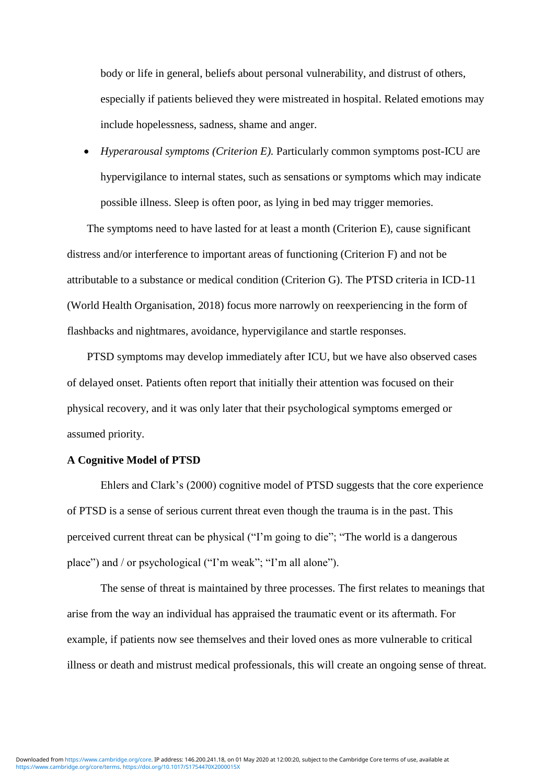body or life in general, beliefs about personal vulnerability, and distrust of others, especially if patients believed they were mistreated in hospital. Related emotions may include hopelessness, sadness, shame and anger.

 *Hyperarousal symptoms (Criterion E).* Particularly common symptoms post-ICU are hypervigilance to internal states, such as sensations or symptoms which may indicate possible illness. Sleep is often poor, as lying in bed may trigger memories.

The symptoms need to have lasted for at least a month (Criterion E), cause significant distress and/or interference to important areas of functioning (Criterion F) and not be attributable to a substance or medical condition (Criterion G). The PTSD criteria in ICD-11 (World Health Organisation, 2018) focus more narrowly on reexperiencing in the form of flashbacks and nightmares, avoidance, hypervigilance and startle responses.

PTSD symptoms may develop immediately after ICU, but we have also observed cases of delayed onset. Patients often report that initially their attention was focused on their physical recovery, and it was only later that their psychological symptoms emerged or assumed priority.

#### **A Cognitive Model of PTSD**

Ehlers and Clark's (2000) cognitive model of PTSD suggests that the core experience of PTSD is a sense of serious current threat even though the trauma is in the past. This perceived current threat can be physical ("I'm going to die"; "The world is a dangerous place") and / or psychological ("I'm weak"; "I'm all alone").

The sense of threat is maintained by three processes. The first relates to meanings that arise from the way an individual has appraised the traumatic event or its aftermath. For example, if patients now see themselves and their loved ones as more vulnerable to critical illness or death and mistrust medical professionals, this will create an ongoing sense of threat.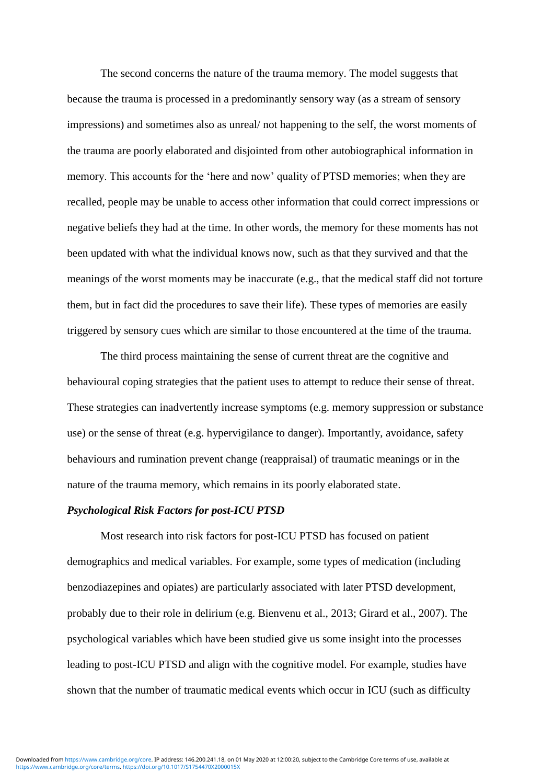The second concerns the nature of the trauma memory. The model suggests that because the trauma is processed in a predominantly sensory way (as a stream of sensory impressions) and sometimes also as unreal/ not happening to the self, the worst moments of the trauma are poorly elaborated and disjointed from other autobiographical information in memory. This accounts for the 'here and now' quality of PTSD memories; when they are recalled, people may be unable to access other information that could correct impressions or negative beliefs they had at the time. In other words, the memory for these moments has not been updated with what the individual knows now, such as that they survived and that the meanings of the worst moments may be inaccurate (e.g., that the medical staff did not torture them, but in fact did the procedures to save their life). These types of memories are easily triggered by sensory cues which are similar to those encountered at the time of the trauma.

The third process maintaining the sense of current threat are the cognitive and behavioural coping strategies that the patient uses to attempt to reduce their sense of threat. These strategies can inadvertently increase symptoms (e.g. memory suppression or substance use) or the sense of threat (e.g. hypervigilance to danger). Importantly, avoidance, safety behaviours and rumination prevent change (reappraisal) of traumatic meanings or in the nature of the trauma memory, which remains in its poorly elaborated state.

#### *Psychological Risk Factors for post-ICU PTSD*

Most research into risk factors for post-ICU PTSD has focused on patient demographics and medical variables. For example, some types of medication (including benzodiazepines and opiates) are particularly associated with later PTSD development, probably due to their role in delirium (e.g. Bienvenu et al., 2013; Girard et al., 2007). The psychological variables which have been studied give us some insight into the processes leading to post-ICU PTSD and align with the cognitive model. For example, studies have shown that the number of traumatic medical events which occur in ICU (such as difficulty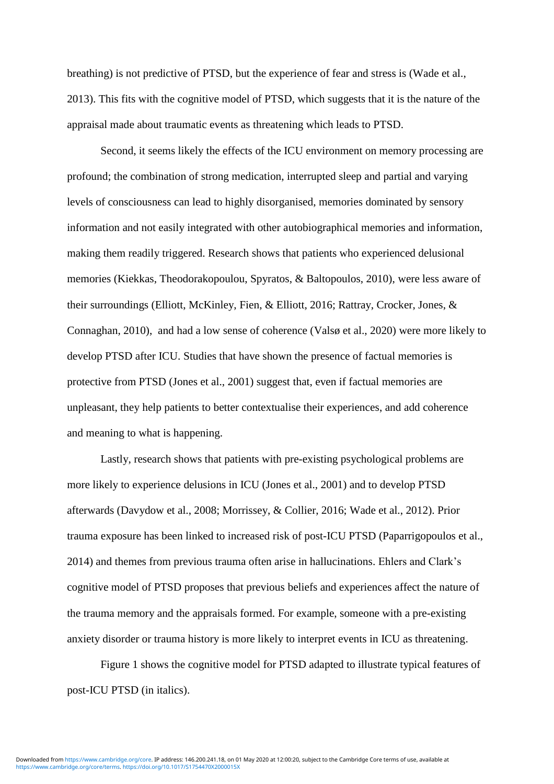breathing) is not predictive of PTSD, but the experience of fear and stress is (Wade et al., 2013). This fits with the cognitive model of PTSD, which suggests that it is the nature of the appraisal made about traumatic events as threatening which leads to PTSD.

Second, it seems likely the effects of the ICU environment on memory processing are profound; the combination of strong medication, interrupted sleep and partial and varying levels of consciousness can lead to highly disorganised, memories dominated by sensory information and not easily integrated with other autobiographical memories and information, making them readily triggered. Research shows that patients who experienced delusional memories (Kiekkas, Theodorakopoulou, Spyratos, & Baltopoulos, 2010), were less aware of their surroundings (Elliott, McKinley, Fien, & Elliott, 2016; Rattray, Crocker, Jones, & Connaghan, 2010), and had a low sense of coherence (Valsø et al., 2020) were more likely to develop PTSD after ICU. Studies that have shown the presence of factual memories is protective from PTSD (Jones et al., 2001) suggest that, even if factual memories are unpleasant, they help patients to better contextualise their experiences, and add coherence and meaning to what is happening.

Lastly, research shows that patients with pre-existing psychological problems are more likely to experience delusions in ICU (Jones et al., 2001) and to develop PTSD afterwards (Davydow et al., 2008; Morrissey, & Collier, 2016; Wade et al., 2012). Prior trauma exposure has been linked to increased risk of post-ICU PTSD (Paparrigopoulos et al., 2014) and themes from previous trauma often arise in hallucinations. Ehlers and Clark's cognitive model of PTSD proposes that previous beliefs and experiences affect the nature of the trauma memory and the appraisals formed. For example, someone with a pre-existing anxiety disorder or trauma history is more likely to interpret events in ICU as threatening.

Figure 1 shows the cognitive model for PTSD adapted to illustrate typical features of post-ICU PTSD (in italics).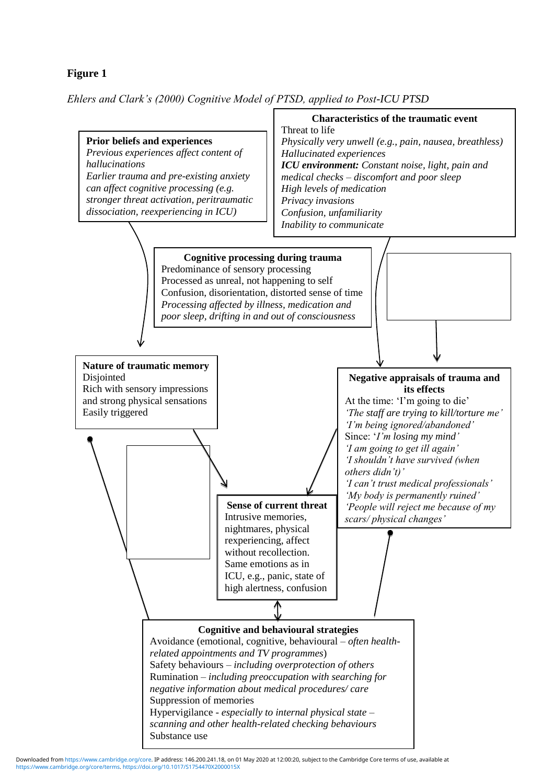# **Figure 1**

*Ehlers and Clark's (2000) Cognitive Model of PTSD, applied to Post-ICU PTSD*



[https://www.cambridge.org/core/terms.](https://www.cambridge.org/core/terms) <https://doi.org/10.1017/S1754470X2000015X> Downloaded from [https://www.cambridge.org/core.](https://www.cambridge.org/core) IP address: 146.200.241.18, on 01 May 2020 at 12:00:20, subject to the Cambridge Core terms of use, available at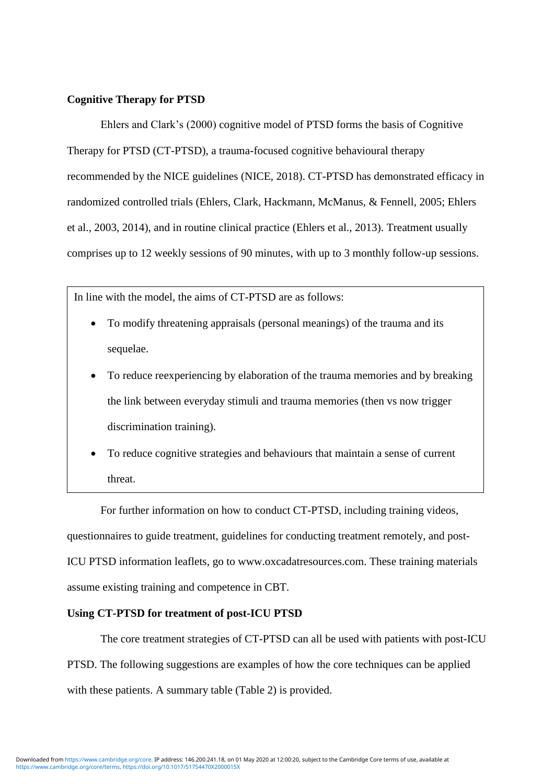#### **Cognitive Therapy for PTSD**

Ehlers and Clark's (2000) cognitive model of PTSD forms the basis of Cognitive Therapy for PTSD (CT-PTSD), a trauma-focused cognitive behavioural therapy recommended by the NICE guidelines (NICE, 2018). CT-PTSD has demonstrated efficacy in randomized controlled trials (Ehlers, Clark, Hackmann, McManus, & Fennell, 2005; Ehlers et al., 2003, 2014), and in routine clinical practice (Ehlers et al., 2013). Treatment usually comprises up to 12 weekly sessions of 90 minutes, with up to 3 monthly follow-up sessions.

In line with the model, the aims of CT-PTSD are as follows:

- To modify threatening appraisals (personal meanings) of the trauma and its sequelae.
- To reduce reexperiencing by elaboration of the trauma memories and by breaking the link between everyday stimuli and trauma memories (then vs now trigger discrimination training).
- To reduce cognitive strategies and behaviours that maintain a sense of current threat.

For further information on how to conduct CT-PTSD, including training videos, questionnaires to guide treatment, guidelines for conducting treatment remotely, and post-ICU PTSD information leaflets, go to www.oxcadatresources.com. These training materials assume existing training and competence in CBT.

#### **Using CT-PTSD for treatment of post-ICU PTSD**

The core treatment strategies of CT-PTSD can all be used with patients with post-ICU PTSD. The following suggestions are examples of how the core techniques can be applied with these patients. A summary table (Table 2) is provided.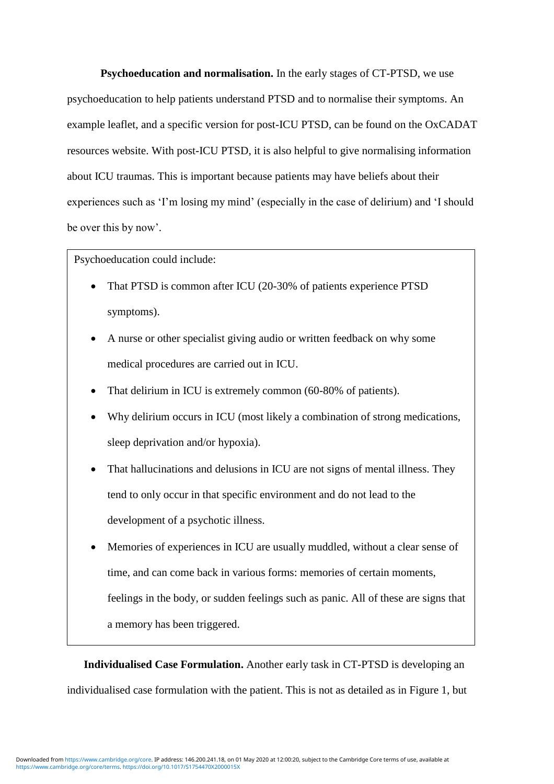**Psychoeducation and normalisation.** In the early stages of CT-PTSD, we use psychoeducation to help patients understand PTSD and to normalise their symptoms. An example leaflet, and a specific version for post-ICU PTSD, can be found on the OxCADAT resources website. With post-ICU PTSD, it is also helpful to give normalising information about ICU traumas. This is important because patients may have beliefs about their experiences such as 'I'm losing my mind' (especially in the case of delirium) and 'I should be over this by now'.

Psychoeducation could include:

- That PTSD is common after ICU (20-30% of patients experience PTSD symptoms).
- A nurse or other specialist giving audio or written feedback on why some medical procedures are carried out in ICU.
- That delirium in ICU is extremely common (60-80% of patients).
- Why delirium occurs in ICU (most likely a combination of strong medications, sleep deprivation and/or hypoxia).
- That hallucinations and delusions in ICU are not signs of mental illness. They tend to only occur in that specific environment and do not lead to the development of a psychotic illness.
- experiences (e.g. by journalist David Aaronovitch: [https://bbc.in/2WuueQy\)](https://bbc.in/2WuueQy) or accessing Memories of experiences in ICU are usually muddled, without a clear sense of time, and can come back in various forms: memories of certain moments, feelings in the body, or sudden feelings such as panic. All of these are signs that a memory has been triggered.

**Individualised Case Formulation.** Another early task in CT-PTSD is developing an individualised case formulation with the patient. This is not as detailed as in Figure 1, but

online resources or support groups for ICU survivors (e.g. ICU Steps; www.icusteps.org).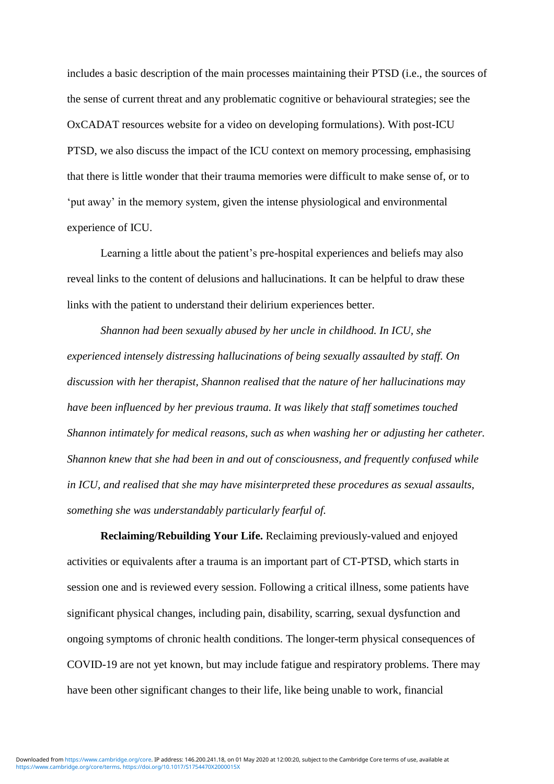includes a basic description of the main processes maintaining their PTSD (i.e., the sources of the sense of current threat and any problematic cognitive or behavioural strategies; see the OxCADAT resources website for a video on developing formulations). With post-ICU PTSD, we also discuss the impact of the ICU context on memory processing, emphasising that there is little wonder that their trauma memories were difficult to make sense of, or to 'put away' in the memory system, given the intense physiological and environmental experience of ICU.

Learning a little about the patient's pre-hospital experiences and beliefs may also reveal links to the content of delusions and hallucinations. It can be helpful to draw these links with the patient to understand their delirium experiences better.

*Shannon had been sexually abused by her uncle in childhood. In ICU, she experienced intensely distressing hallucinations of being sexually assaulted by staff. On discussion with her therapist, Shannon realised that the nature of her hallucinations may have been influenced by her previous trauma. It was likely that staff sometimes touched Shannon intimately for medical reasons, such as when washing her or adjusting her catheter. Shannon knew that she had been in and out of consciousness, and frequently confused while in ICU, and realised that she may have misinterpreted these procedures as sexual assaults, something she was understandably particularly fearful of.* 

**Reclaiming/Rebuilding Your Life.** Reclaiming previously-valued and enjoyed activities or equivalents after a trauma is an important part of CT-PTSD, which starts in session one and is reviewed every session. Following a critical illness, some patients have significant physical changes, including pain, disability, scarring, sexual dysfunction and ongoing symptoms of chronic health conditions. The longer-term physical consequences of COVID-19 are not yet known, but may include fatigue and respiratory problems. There may have been other significant changes to their life, like being unable to work, financial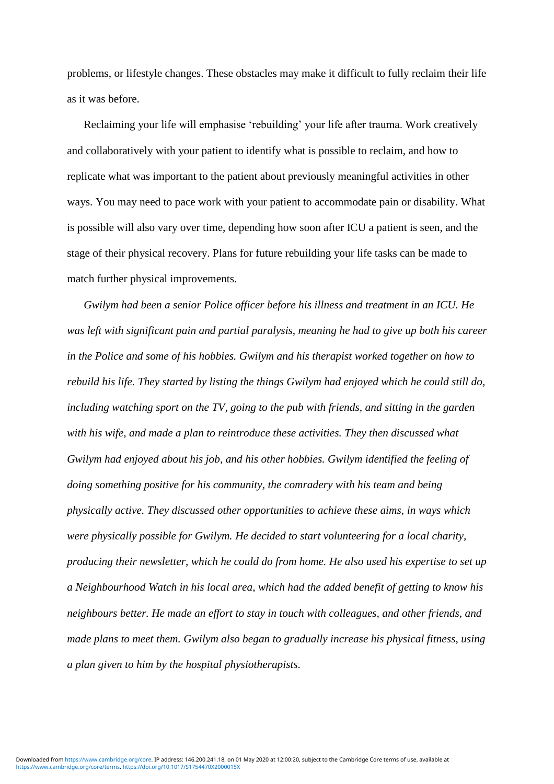problems, or lifestyle changes. These obstacles may make it difficult to fully reclaim their life as it was before.

Reclaiming your life will emphasise 'rebuilding' your life after trauma. Work creatively and collaboratively with your patient to identify what is possible to reclaim, and how to replicate what was important to the patient about previously meaningful activities in other ways. You may need to pace work with your patient to accommodate pain or disability. What is possible will also vary over time, depending how soon after ICU a patient is seen, and the stage of their physical recovery. Plans for future rebuilding your life tasks can be made to match further physical improvements.

*Gwilym had been a senior Police officer before his illness and treatment in an ICU. He was left with significant pain and partial paralysis, meaning he had to give up both his career in the Police and some of his hobbies. Gwilym and his therapist worked together on how to rebuild his life. They started by listing the things Gwilym had enjoyed which he could still do, including watching sport on the TV, going to the pub with friends, and sitting in the garden with his wife, and made a plan to reintroduce these activities. They then discussed what Gwilym had enjoyed about his job, and his other hobbies. Gwilym identified the feeling of doing something positive for his community, the comradery with his team and being physically active. They discussed other opportunities to achieve these aims, in ways which were physically possible for Gwilym. He decided to start volunteering for a local charity, producing their newsletter, which he could do from home. He also used his expertise to set up a Neighbourhood Watch in his local area, which had the added benefit of getting to know his neighbours better. He made an effort to stay in touch with colleagues, and other friends, and made plans to meet them. Gwilym also began to gradually increase his physical fitness, using a plan given to him by the hospital physiotherapists.*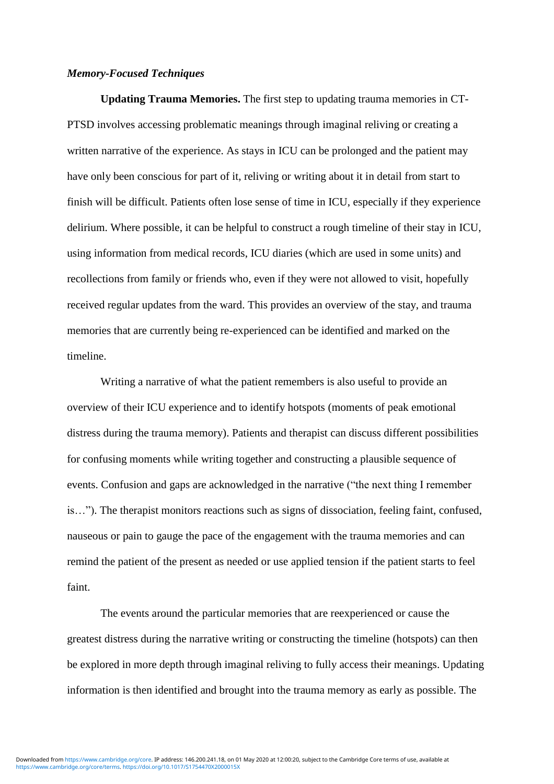#### *Memory-Focused Techniques*

**Updating Trauma Memories.** The first step to updating trauma memories in CT-PTSD involves accessing problematic meanings through imaginal reliving or creating a written narrative of the experience. As stays in ICU can be prolonged and the patient may have only been conscious for part of it, reliving or writing about it in detail from start to finish will be difficult. Patients often lose sense of time in ICU, especially if they experience delirium. Where possible, it can be helpful to construct a rough timeline of their stay in ICU, using information from medical records, ICU diaries (which are used in some units) and recollections from family or friends who, even if they were not allowed to visit, hopefully received regular updates from the ward. This provides an overview of the stay, and trauma memories that are currently being re-experienced can be identified and marked on the timeline.

Writing a narrative of what the patient remembers is also useful to provide an overview of their ICU experience and to identify hotspots (moments of peak emotional distress during the trauma memory). Patients and therapist can discuss different possibilities for confusing moments while writing together and constructing a plausible sequence of events. Confusion and gaps are acknowledged in the narrative ("the next thing I remember is…"). The therapist monitors reactions such as signs of dissociation, feeling faint, confused, nauseous or pain to gauge the pace of the engagement with the trauma memories and can remind the patient of the present as needed or use applied tension if the patient starts to feel faint.

The events around the particular memories that are reexperienced or cause the greatest distress during the narrative writing or constructing the timeline (hotspots) can then be explored in more depth through imaginal reliving to fully access their meanings. Updating information is then identified and brought into the trauma memory as early as possible. The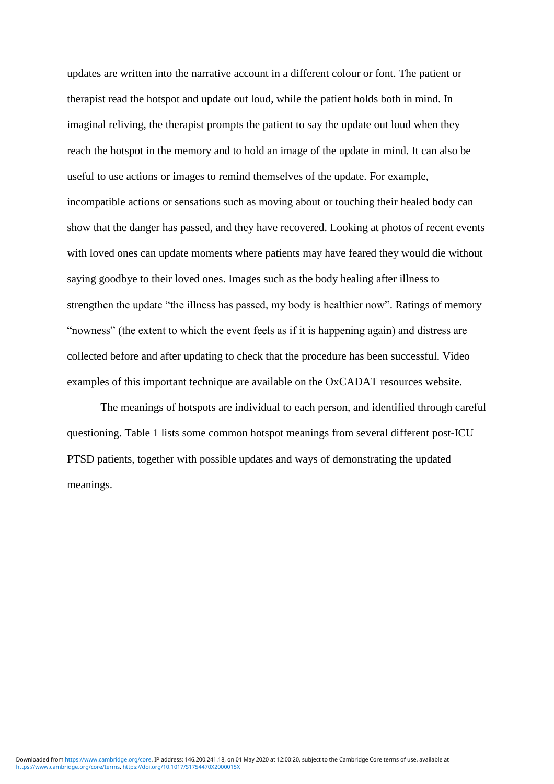updates are written into the narrative account in a different colour or font. The patient or therapist read the hotspot and update out loud, while the patient holds both in mind. In imaginal reliving, the therapist prompts the patient to say the update out loud when they reach the hotspot in the memory and to hold an image of the update in mind. It can also be useful to use actions or images to remind themselves of the update. For example, incompatible actions or sensations such as moving about or touching their healed body can show that the danger has passed, and they have recovered. Looking at photos of recent events with loved ones can update moments where patients may have feared they would die without saying goodbye to their loved ones. Images such as the body healing after illness to strengthen the update "the illness has passed, my body is healthier now". Ratings of memory "nowness" (the extent to which the event feels as if it is happening again) and distress are collected before and after updating to check that the procedure has been successful. Video examples of this important technique are available on the OxCADAT resources website.

The meanings of hotspots are individual to each person, and identified through careful questioning. Table 1 lists some common hotspot meanings from several different post-ICU PTSD patients, together with possible updates and ways of demonstrating the updated meanings.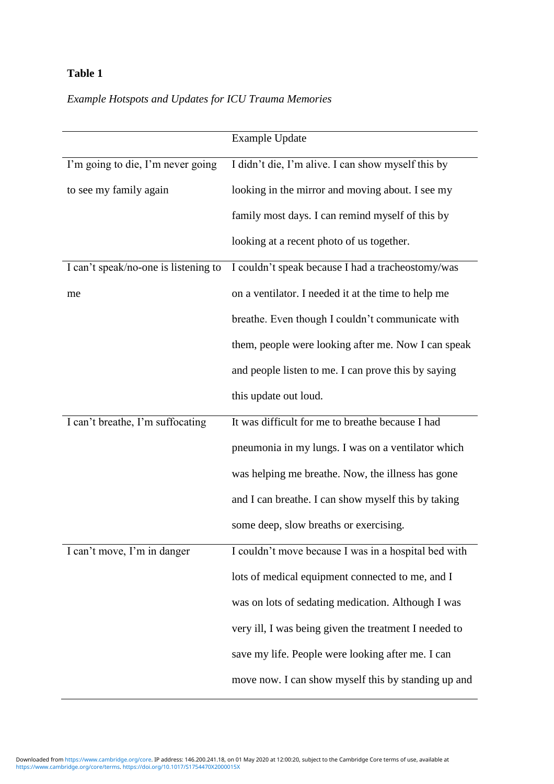# **Table 1**

# *Example Hotspots and Updates for ICU Trauma Memories*

|                                      | <b>Example Update</b>                                 |
|--------------------------------------|-------------------------------------------------------|
| I'm going to die, I'm never going    | I didn't die, I'm alive. I can show myself this by    |
| to see my family again               | looking in the mirror and moving about. I see my      |
|                                      | family most days. I can remind myself of this by      |
|                                      | looking at a recent photo of us together.             |
| I can't speak/no-one is listening to | I couldn't speak because I had a tracheostomy/was     |
| me                                   | on a ventilator. I needed it at the time to help me   |
|                                      | breathe. Even though I couldn't communicate with      |
|                                      | them, people were looking after me. Now I can speak   |
|                                      | and people listen to me. I can prove this by saying   |
|                                      | this update out loud.                                 |
| I can't breathe, I'm suffocating     | It was difficult for me to breathe because I had      |
|                                      | pneumonia in my lungs. I was on a ventilator which    |
|                                      | was helping me breathe. Now, the illness has gone     |
|                                      | and I can breathe. I can show myself this by taking   |
|                                      | some deep, slow breaths or exercising.                |
| I can't move, I'm in danger          | I couldn't move because I was in a hospital bed with  |
|                                      | lots of medical equipment connected to me, and I      |
|                                      | was on lots of sedating medication. Although I was    |
|                                      | very ill, I was being given the treatment I needed to |
|                                      | save my life. People were looking after me. I can     |
|                                      | move now. I can show myself this by standing up and   |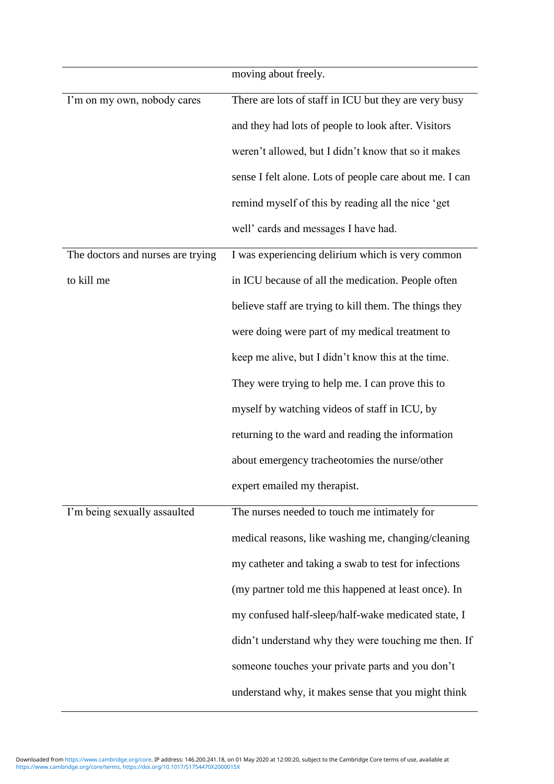|                                   | moving about freely.                                    |
|-----------------------------------|---------------------------------------------------------|
| I'm on my own, nobody cares       | There are lots of staff in ICU but they are very busy   |
|                                   | and they had lots of people to look after. Visitors     |
|                                   | weren't allowed, but I didn't know that so it makes     |
|                                   | sense I felt alone. Lots of people care about me. I can |
|                                   | remind myself of this by reading all the nice 'get      |
|                                   | well' cards and messages I have had.                    |
| The doctors and nurses are trying | I was experiencing delirium which is very common        |
| to kill me                        | in ICU because of all the medication. People often      |
|                                   | believe staff are trying to kill them. The things they  |
|                                   | were doing were part of my medical treatment to         |
|                                   | keep me alive, but I didn't know this at the time.      |
|                                   | They were trying to help me. I can prove this to        |
|                                   | myself by watching videos of staff in ICU, by           |
|                                   | returning to the ward and reading the information       |
|                                   | about emergency tracheotomies the nurse/other           |
|                                   | expert emailed my therapist.                            |
| I'm being sexually assaulted      | The nurses needed to touch me intimately for            |
|                                   | medical reasons, like washing me, changing/cleaning     |
|                                   | my catheter and taking a swab to test for infections    |
|                                   | (my partner told me this happened at least once). In    |
|                                   | my confused half-sleep/half-wake medicated state, I     |
|                                   | didn't understand why they were touching me then. If    |
|                                   | someone touches your private parts and you don't        |
|                                   | understand why, it makes sense that you might think     |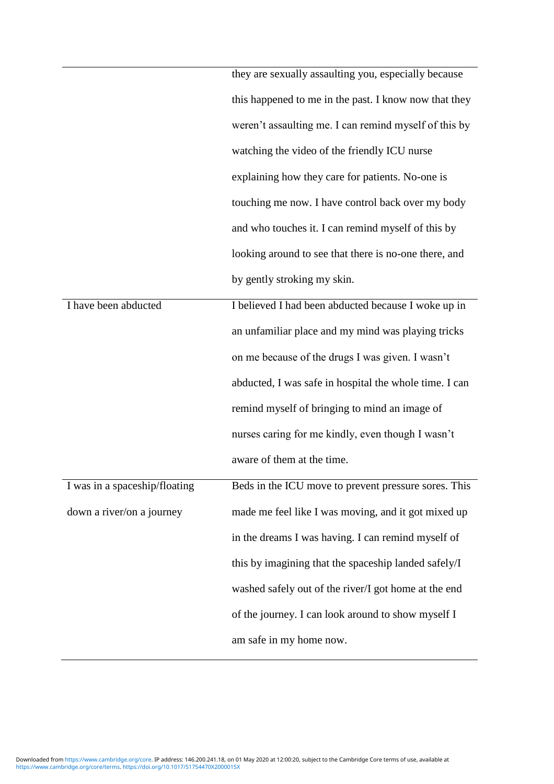|                               | they are sexually assaulting you, especially because   |
|-------------------------------|--------------------------------------------------------|
|                               |                                                        |
|                               | this happened to me in the past. I know now that they  |
|                               | weren't assaulting me. I can remind myself of this by  |
|                               | watching the video of the friendly ICU nurse           |
|                               | explaining how they care for patients. No-one is       |
|                               | touching me now. I have control back over my body      |
|                               | and who touches it. I can remind myself of this by     |
|                               | looking around to see that there is no-one there, and  |
|                               | by gently stroking my skin.                            |
| I have been abducted          | I believed I had been abducted because I woke up in    |
|                               | an unfamiliar place and my mind was playing tricks     |
|                               | on me because of the drugs I was given. I wasn't       |
|                               | abducted, I was safe in hospital the whole time. I can |
|                               | remind myself of bringing to mind an image of          |
|                               | nurses caring for me kindly, even though I wasn't      |
|                               | aware of them at the time.                             |
| I was in a spaceship/floating | Beds in the ICU move to prevent pressure sores. This   |
| down a river/on a journey     | made me feel like I was moving, and it got mixed up    |
|                               | in the dreams I was having. I can remind myself of     |
|                               | this by imagining that the spaceship landed safely/I   |
|                               | washed safely out of the river/I got home at the end   |
|                               | of the journey. I can look around to show myself I     |
|                               | am safe in my home now.                                |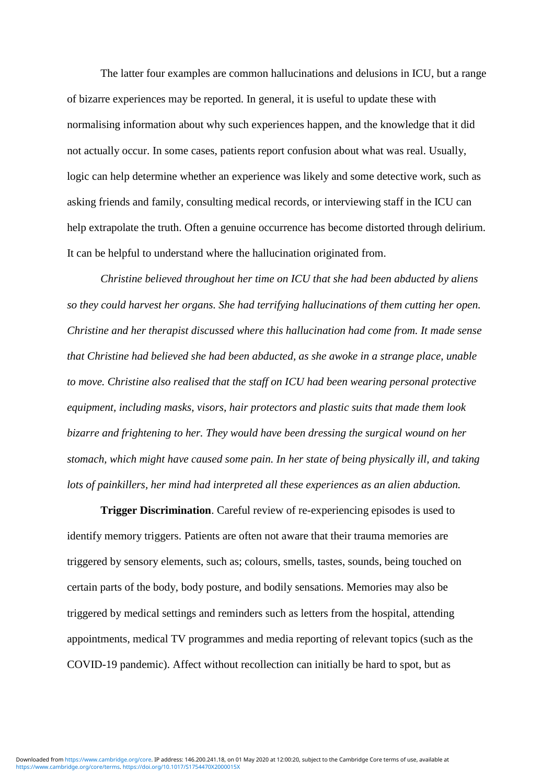The latter four examples are common hallucinations and delusions in ICU, but a range of bizarre experiences may be reported. In general, it is useful to update these with normalising information about why such experiences happen, and the knowledge that it did not actually occur. In some cases, patients report confusion about what was real. Usually, logic can help determine whether an experience was likely and some detective work, such as asking friends and family, consulting medical records, or interviewing staff in the ICU can help extrapolate the truth. Often a genuine occurrence has become distorted through delirium. It can be helpful to understand where the hallucination originated from.

*Christine believed throughout her time on ICU that she had been abducted by aliens so they could harvest her organs. She had terrifying hallucinations of them cutting her open. Christine and her therapist discussed where this hallucination had come from. It made sense that Christine had believed she had been abducted, as she awoke in a strange place, unable to move. Christine also realised that the staff on ICU had been wearing personal protective equipment, including masks, visors, hair protectors and plastic suits that made them look bizarre and frightening to her. They would have been dressing the surgical wound on her stomach, which might have caused some pain. In her state of being physically ill, and taking lots of painkillers, her mind had interpreted all these experiences as an alien abduction.*

**Trigger Discrimination**. Careful review of re-experiencing episodes is used to identify memory triggers. Patients are often not aware that their trauma memories are triggered by sensory elements, such as; colours, smells, tastes, sounds, being touched on certain parts of the body, body posture, and bodily sensations. Memories may also be triggered by medical settings and reminders such as letters from the hospital, attending appointments, medical TV programmes and media reporting of relevant topics (such as the COVID-19 pandemic). Affect without recollection can initially be hard to spot, but as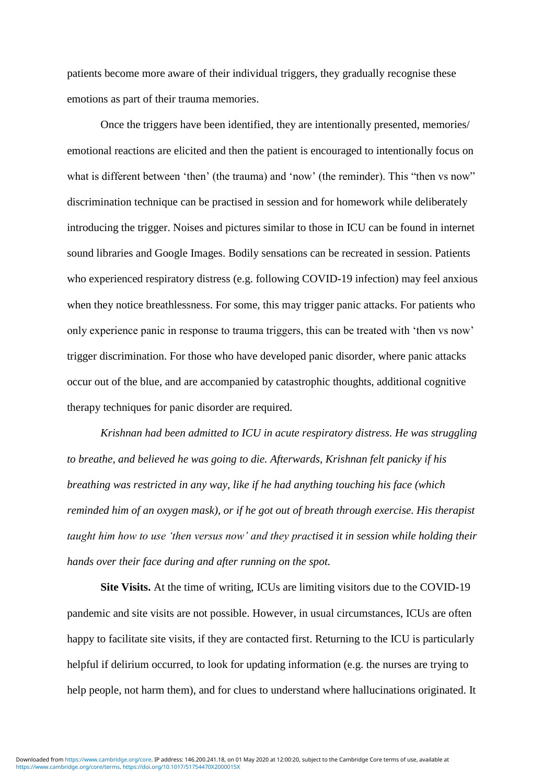patients become more aware of their individual triggers, they gradually recognise these emotions as part of their trauma memories.

Once the triggers have been identified, they are intentionally presented, memories/ emotional reactions are elicited and then the patient is encouraged to intentionally focus on what is different between 'then' (the trauma) and 'now' (the reminder). This "then vs now" discrimination technique can be practised in session and for homework while deliberately introducing the trigger. Noises and pictures similar to those in ICU can be found in internet sound libraries and Google Images. Bodily sensations can be recreated in session. Patients who experienced respiratory distress (e.g. following COVID-19 infection) may feel anxious when they notice breathlessness. For some, this may trigger panic attacks. For patients who only experience panic in response to trauma triggers, this can be treated with 'then vs now' trigger discrimination. For those who have developed panic disorder, where panic attacks occur out of the blue, and are accompanied by catastrophic thoughts, additional cognitive therapy techniques for panic disorder are required.

*Krishnan had been admitted to ICU in acute respiratory distress. He was struggling to breathe, and believed he was going to die. Afterwards, Krishnan felt panicky if his breathing was restricted in any way, like if he had anything touching his face (which reminded him of an oxygen mask), or if he got out of breath through exercise. His therapist taught him how to use 'then versus now' and they practised it in session while holding their hands over their face during and after running on the spot.* 

**Site Visits.** At the time of writing, ICUs are limiting visitors due to the COVID-19 pandemic and site visits are not possible. However, in usual circumstances, ICUs are often happy to facilitate site visits, if they are contacted first. Returning to the ICU is particularly helpful if delirium occurred, to look for updating information (e.g. the nurses are trying to help people, not harm them), and for clues to understand where hallucinations originated. It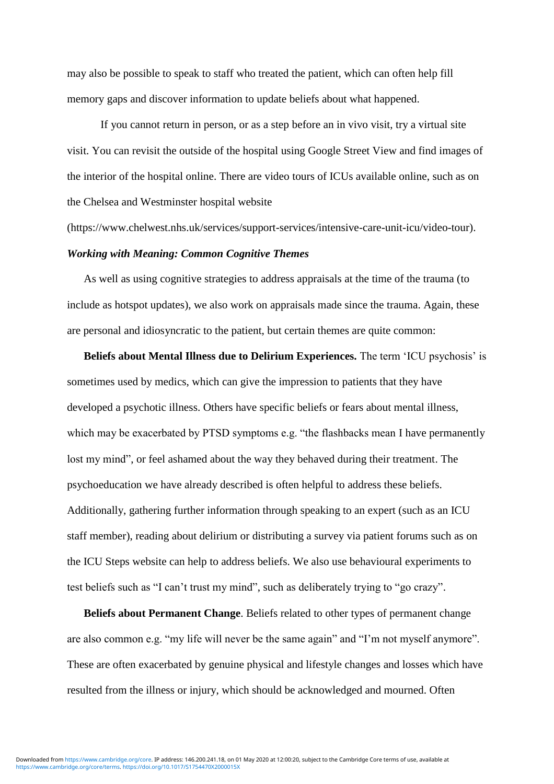may also be possible to speak to staff who treated the patient, which can often help fill memory gaps and discover information to update beliefs about what happened.

If you cannot return in person, or as a step before an in vivo visit, try a virtual site visit. You can revisit the outside of the hospital using Google Street View and find images of the interior of the hospital online. There are video tours of ICUs available online, such as on the Chelsea and Westminster hospital website

(https://www.chelwest.nhs.uk/services/support-services/intensive-care-unit-icu/video-tour).

#### *Working with Meaning: Common Cognitive Themes*

As well as using cognitive strategies to address appraisals at the time of the trauma (to include as hotspot updates), we also work on appraisals made since the trauma. Again, these are personal and idiosyncratic to the patient, but certain themes are quite common:

**Beliefs about Mental Illness due to Delirium Experiences.** The term 'ICU psychosis' is sometimes used by medics, which can give the impression to patients that they have developed a psychotic illness. Others have specific beliefs or fears about mental illness, which may be exacerbated by PTSD symptoms e.g. "the flashbacks mean I have permanently lost my mind", or feel ashamed about the way they behaved during their treatment. The psychoeducation we have already described is often helpful to address these beliefs. Additionally, gathering further information through speaking to an expert (such as an ICU staff member), reading about delirium or distributing a survey via patient forums such as on the ICU Steps website can help to address beliefs. We also use behavioural experiments to test beliefs such as "I can't trust my mind", such as deliberately trying to "go crazy".

**Beliefs about Permanent Change**. Beliefs related to other types of permanent change are also common e.g. "my life will never be the same again" and "I'm not myself anymore". These are often exacerbated by genuine physical and lifestyle changes and losses which have resulted from the illness or injury, which should be acknowledged and mourned. Often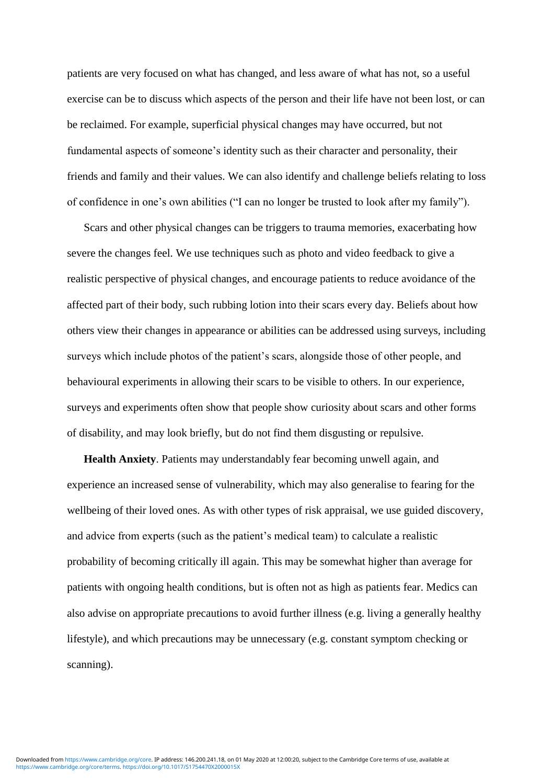patients are very focused on what has changed, and less aware of what has not, so a useful exercise can be to discuss which aspects of the person and their life have not been lost, or can be reclaimed. For example, superficial physical changes may have occurred, but not fundamental aspects of someone's identity such as their character and personality, their friends and family and their values. We can also identify and challenge beliefs relating to loss of confidence in one's own abilities ("I can no longer be trusted to look after my family").

Scars and other physical changes can be triggers to trauma memories, exacerbating how severe the changes feel. We use techniques such as photo and video feedback to give a realistic perspective of physical changes, and encourage patients to reduce avoidance of the affected part of their body, such rubbing lotion into their scars every day. Beliefs about how others view their changes in appearance or abilities can be addressed using surveys, including surveys which include photos of the patient's scars, alongside those of other people, and behavioural experiments in allowing their scars to be visible to others. In our experience, surveys and experiments often show that people show curiosity about scars and other forms of disability, and may look briefly, but do not find them disgusting or repulsive.

**Health Anxiety**. Patients may understandably fear becoming unwell again, and experience an increased sense of vulnerability, which may also generalise to fearing for the wellbeing of their loved ones. As with other types of risk appraisal, we use guided discovery, and advice from experts (such as the patient's medical team) to calculate a realistic probability of becoming critically ill again. This may be somewhat higher than average for patients with ongoing health conditions, but is often not as high as patients fear. Medics can also advise on appropriate precautions to avoid further illness (e.g. living a generally healthy lifestyle), and which precautions may be unnecessary (e.g. constant symptom checking or scanning).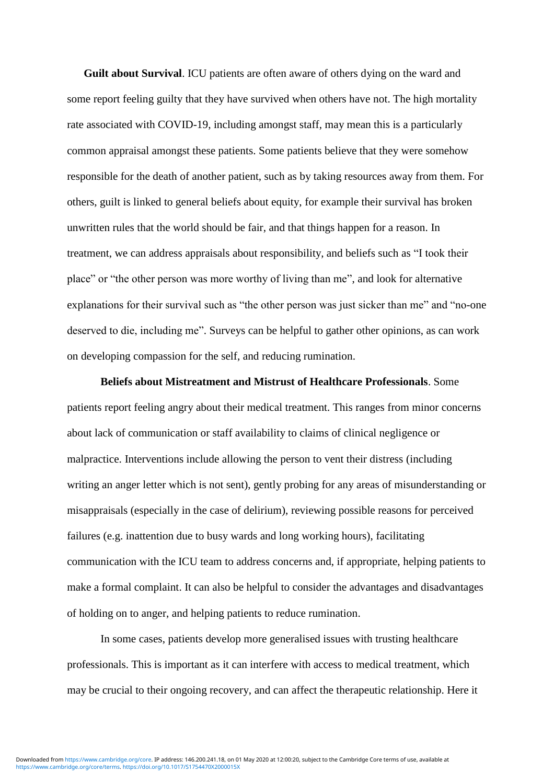**Guilt about Survival**. ICU patients are often aware of others dying on the ward and some report feeling guilty that they have survived when others have not. The high mortality rate associated with COVID-19, including amongst staff, may mean this is a particularly common appraisal amongst these patients. Some patients believe that they were somehow responsible for the death of another patient, such as by taking resources away from them. For others, guilt is linked to general beliefs about equity, for example their survival has broken unwritten rules that the world should be fair, and that things happen for a reason. In treatment, we can address appraisals about responsibility, and beliefs such as "I took their place" or "the other person was more worthy of living than me", and look for alternative explanations for their survival such as "the other person was just sicker than me" and "no-one" deserved to die, including me". Surveys can be helpful to gather other opinions, as can work on developing compassion for the self, and reducing rumination.

**Beliefs about Mistreatment and Mistrust of Healthcare Professionals**. Some patients report feeling angry about their medical treatment. This ranges from minor concerns about lack of communication or staff availability to claims of clinical negligence or malpractice. Interventions include allowing the person to vent their distress (including writing an anger letter which is not sent), gently probing for any areas of misunderstanding or misappraisals (especially in the case of delirium), reviewing possible reasons for perceived failures (e.g. inattention due to busy wards and long working hours), facilitating communication with the ICU team to address concerns and, if appropriate, helping patients to make a formal complaint. It can also be helpful to consider the advantages and disadvantages of holding on to anger, and helping patients to reduce rumination.

In some cases, patients develop more generalised issues with trusting healthcare professionals. This is important as it can interfere with access to medical treatment, which may be crucial to their ongoing recovery, and can affect the therapeutic relationship. Here it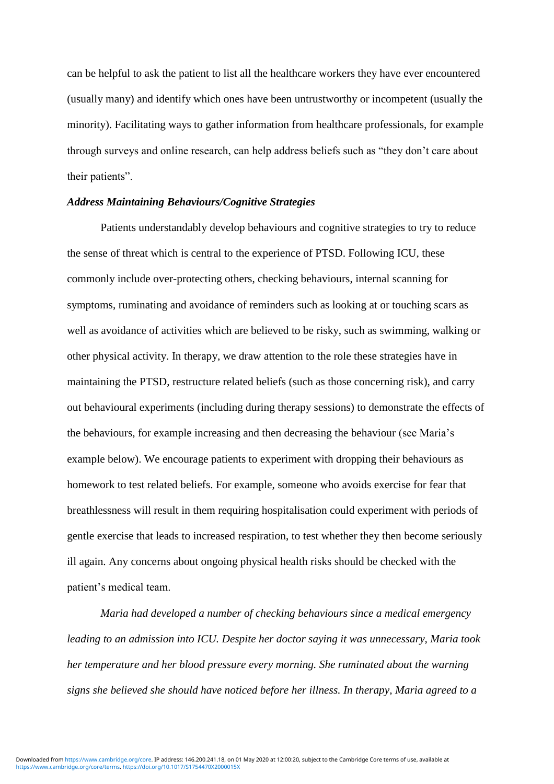can be helpful to ask the patient to list all the healthcare workers they have ever encountered (usually many) and identify which ones have been untrustworthy or incompetent (usually the minority). Facilitating ways to gather information from healthcare professionals, for example through surveys and online research, can help address beliefs such as "they don't care about their patients".

### *Address Maintaining Behaviours/Cognitive Strategies*

Patients understandably develop behaviours and cognitive strategies to try to reduce the sense of threat which is central to the experience of PTSD. Following ICU, these commonly include over-protecting others, checking behaviours, internal scanning for symptoms, ruminating and avoidance of reminders such as looking at or touching scars as well as avoidance of activities which are believed to be risky, such as swimming, walking or other physical activity. In therapy, we draw attention to the role these strategies have in maintaining the PTSD, restructure related beliefs (such as those concerning risk), and carry out behavioural experiments (including during therapy sessions) to demonstrate the effects of the behaviours, for example increasing and then decreasing the behaviour (see Maria's example below). We encourage patients to experiment with dropping their behaviours as homework to test related beliefs. For example, someone who avoids exercise for fear that breathlessness will result in them requiring hospitalisation could experiment with periods of gentle exercise that leads to increased respiration, to test whether they then become seriously ill again. Any concerns about ongoing physical health risks should be checked with the patient's medical team.

*Maria had developed a number of checking behaviours since a medical emergency leading to an admission into ICU. Despite her doctor saying it was unnecessary, Maria took her temperature and her blood pressure every morning. She ruminated about the warning signs she believed she should have noticed before her illness. In therapy, Maria agreed to a*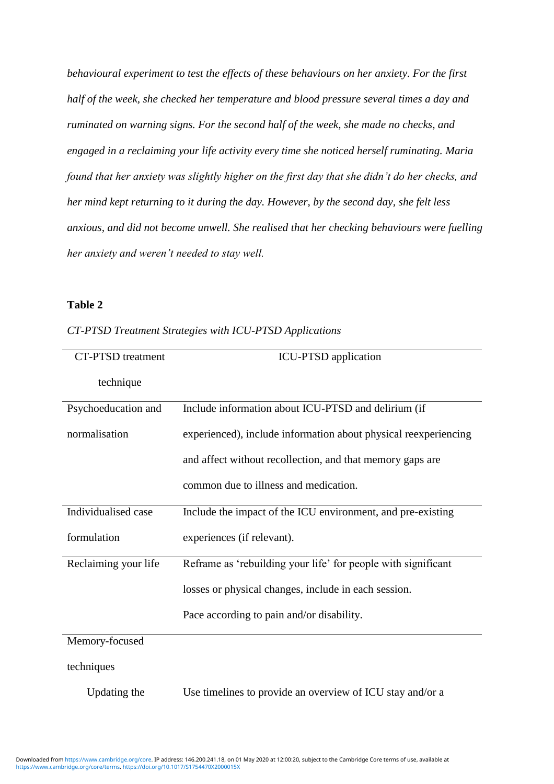*behavioural experiment to test the effects of these behaviours on her anxiety. For the first half of the week, she checked her temperature and blood pressure several times a day and ruminated on warning signs. For the second half of the week, she made no checks, and engaged in a reclaiming your life activity every time she noticed herself ruminating. Maria found that her anxiety was slightly higher on the first day that she didn't do her checks, and her mind kept returning to it during the day. However, by the second day, she felt less anxious, and did not become unwell. She realised that her checking behaviours were fuelling her anxiety and weren't needed to stay well.*

### **Table 2**

| <b>CT-PTSD</b> treatment | <b>ICU-PTSD</b> application                                     |
|--------------------------|-----------------------------------------------------------------|
| technique                |                                                                 |
| Psychoeducation and      | Include information about ICU-PTSD and delirium (if             |
| normalisation            | experienced), include information about physical reexperiencing |
|                          | and affect without recollection, and that memory gaps are       |
|                          | common due to illness and medication.                           |
| Individualised case      | Include the impact of the ICU environment, and pre-existing     |
| formulation              | experiences (if relevant).                                      |
| Reclaiming your life     | Reframe as 'rebuilding your life' for people with significant   |
|                          | losses or physical changes, include in each session.            |
|                          | Pace according to pain and/or disability.                       |
| Memory-focused           |                                                                 |
| techniques               |                                                                 |

*CT-PTSD Treatment Strategies with ICU-PTSD Applications*

Updating the Use timelines to provide an overview of ICU stay and/or a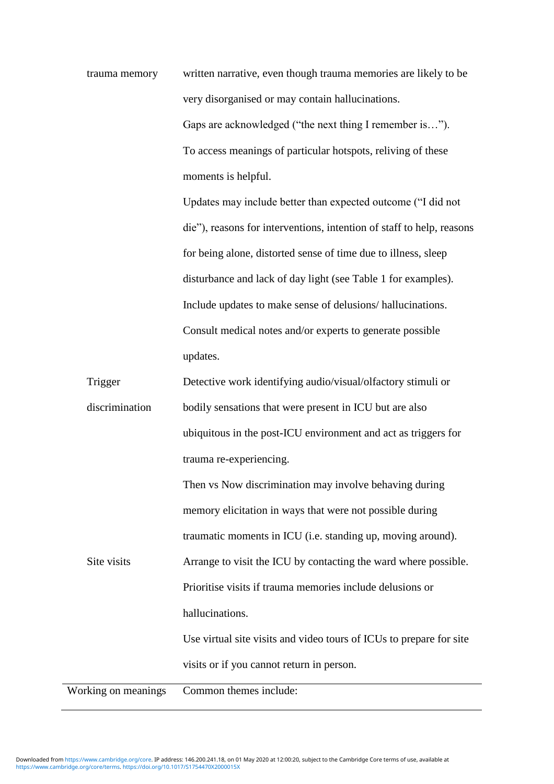trauma memory written narrative, even though trauma memories are likely to be very disorganised or may contain hallucinations. Gaps are acknowledged ("the next thing I remember is…"). To access meanings of particular hotspots, reliving of these moments is helpful.

> Updates may include better than expected outcome ("I did not die"), reasons for interventions, intention of staff to help, reasons for being alone, distorted sense of time due to illness, sleep disturbance and lack of day light (see Table 1 for examples). Include updates to make sense of delusions/ hallucinations. Consult medical notes and/or experts to generate possible updates.

| Trigger             | Detective work identifying audio/visual/olfactory stimuli or        |
|---------------------|---------------------------------------------------------------------|
| discrimination      | bodily sensations that were present in ICU but are also             |
|                     | ubiquitous in the post-ICU environment and act as triggers for      |
|                     | trauma re-experiencing.                                             |
|                     | Then vs Now discrimination may involve behaving during              |
|                     | memory elicitation in ways that were not possible during            |
|                     | traumatic moments in ICU (i.e. standing up, moving around).         |
| Site visits         | Arrange to visit the ICU by contacting the ward where possible.     |
|                     | Prioritise visits if trauma memories include delusions or           |
|                     | hallucinations.                                                     |
|                     | Use virtual site visits and video tours of ICUs to prepare for site |
|                     | visits or if you cannot return in person.                           |
| Working on meanings | Common themes include:                                              |

[https://www.cambridge.org/core/terms.](https://www.cambridge.org/core/terms) <https://doi.org/10.1017/S1754470X2000015X> Downloaded from [https://www.cambridge.org/core.](https://www.cambridge.org/core) IP address: 146.200.241.18, on 01 May 2020 at 12:00:20, subject to the Cambridge Core terms of use, available at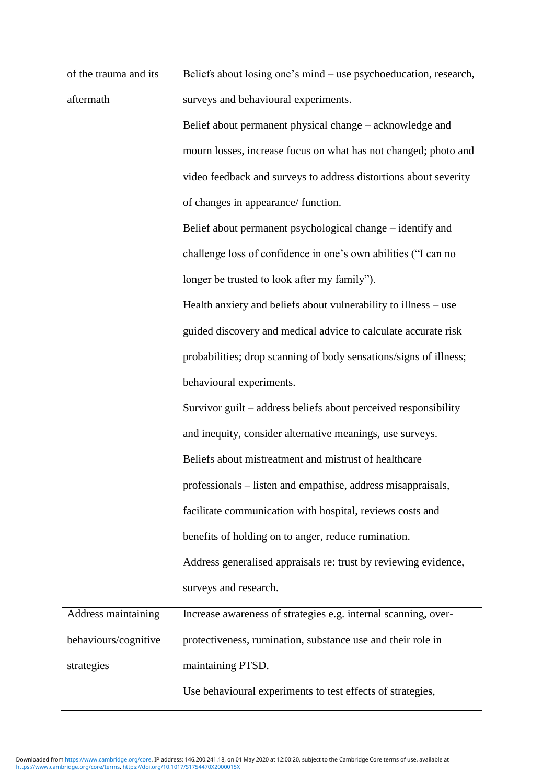of the trauma and its aftermath Beliefs about losing one's mind – use psychoeducation, research, surveys and behavioural experiments.

> Belief about permanent physical change – acknowledge and mourn losses, increase focus on what has not changed; photo and video feedback and surveys to address distortions about severity of changes in appearance/ function.

Belief about permanent psychological change – identify and challenge loss of confidence in one's own abilities ("I can no longer be trusted to look after my family").

Health anxiety and beliefs about vulnerability to illness – use guided discovery and medical advice to calculate accurate risk probabilities; drop scanning of body sensations/signs of illness; behavioural experiments.

Survivor guilt – address beliefs about perceived responsibility and inequity, consider alternative meanings, use surveys. Beliefs about mistreatment and mistrust of healthcare professionals – listen and empathise, address misappraisals, facilitate communication with hospital, reviews costs and benefits of holding on to anger, reduce rumination. Address generalised appraisals re: trust by reviewing evidence, surveys and research.

| Address maintaining  | Increase awareness of strategies e.g. internal scanning, over- |
|----------------------|----------------------------------------------------------------|
| behaviours/cognitive | protectiveness, rumination, substance use and their role in    |
| strategies           | maintaining PTSD.                                              |
|                      | Use behavioural experiments to test effects of strategies,     |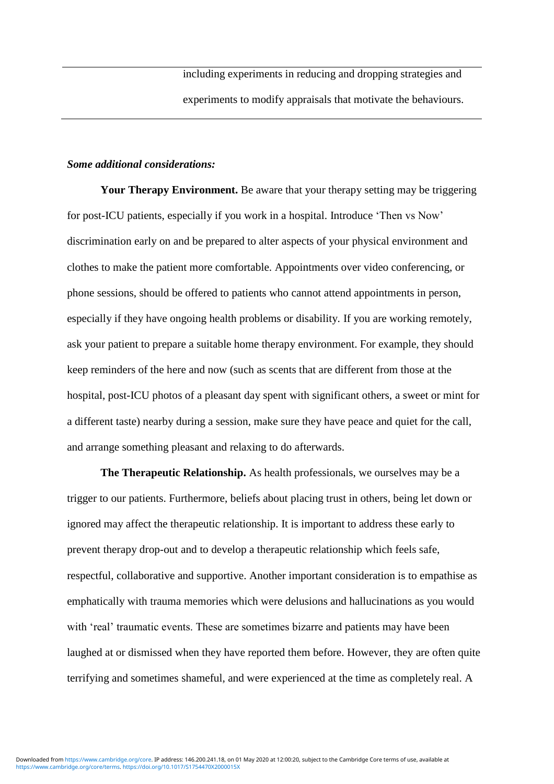including experiments in reducing and dropping strategies and experiments to modify appraisals that motivate the behaviours.

#### *Some additional considerations:*

**Your Therapy Environment.** Be aware that your therapy setting may be triggering for post-ICU patients, especially if you work in a hospital. Introduce 'Then vs Now' discrimination early on and be prepared to alter aspects of your physical environment and clothes to make the patient more comfortable. Appointments over video conferencing, or phone sessions, should be offered to patients who cannot attend appointments in person, especially if they have ongoing health problems or disability. If you are working remotely, ask your patient to prepare a suitable home therapy environment. For example, they should keep reminders of the here and now (such as scents that are different from those at the hospital, post-ICU photos of a pleasant day spent with significant others, a sweet or mint for a different taste) nearby during a session, make sure they have peace and quiet for the call, and arrange something pleasant and relaxing to do afterwards.

**The Therapeutic Relationship.** As health professionals, we ourselves may be a trigger to our patients. Furthermore, beliefs about placing trust in others, being let down or ignored may affect the therapeutic relationship. It is important to address these early to prevent therapy drop-out and to develop a therapeutic relationship which feels safe, respectful, collaborative and supportive. Another important consideration is to empathise as emphatically with trauma memories which were delusions and hallucinations as you would with 'real' traumatic events. These are sometimes bizarre and patients may have been laughed at or dismissed when they have reported them before. However, they are often quite terrifying and sometimes shameful, and were experienced at the time as completely real. A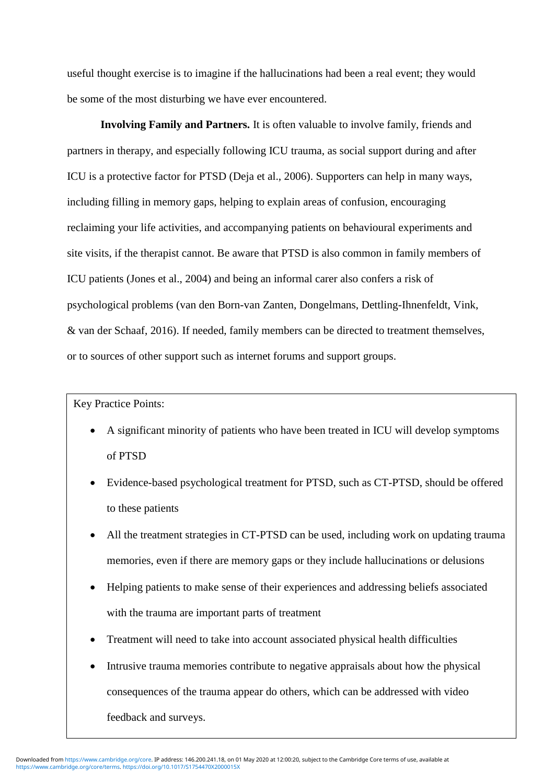useful thought exercise is to imagine if the hallucinations had been a real event; they would be some of the most disturbing we have ever encountered.

**Involving Family and Partners.** It is often valuable to involve family, friends and partners in therapy, and especially following ICU trauma, as social support during and after ICU is a protective factor for PTSD (Deja et al., 2006). Supporters can help in many ways, including filling in memory gaps, helping to explain areas of confusion, encouraging reclaiming your life activities, and accompanying patients on behavioural experiments and site visits, if the therapist cannot. Be aware that PTSD is also common in family members of ICU patients (Jones et al., 2004) and being an informal carer also confers a risk of psychological problems (van den Born-van Zanten, Dongelmans, Dettling-Ihnenfeldt, Vink, & van der Schaaf, 2016). If needed, family members can be directed to treatment themselves, or to sources of other support such as internet forums and support groups.

Key Practice Points:

- A significant minority of patients who have been treated in ICU will develop symptoms of PTSD
- Evidence-based psychological treatment for PTSD, such as CT-PTSD, should be offered to these patients
- All the treatment strategies in CT-PTSD can be used, including work on updating trauma memories, even if there are memory gaps or they include hallucinations or delusions
- Helping patients to make sense of their experiences and addressing beliefs associated with the trauma are important parts of treatment
- Treatment will need to take into account associated physical health difficulties
- Intrusive trauma memories contribute to negative appraisals about how the physical consequences of the trauma appear do others, which can be addressed with video feedback and surveys.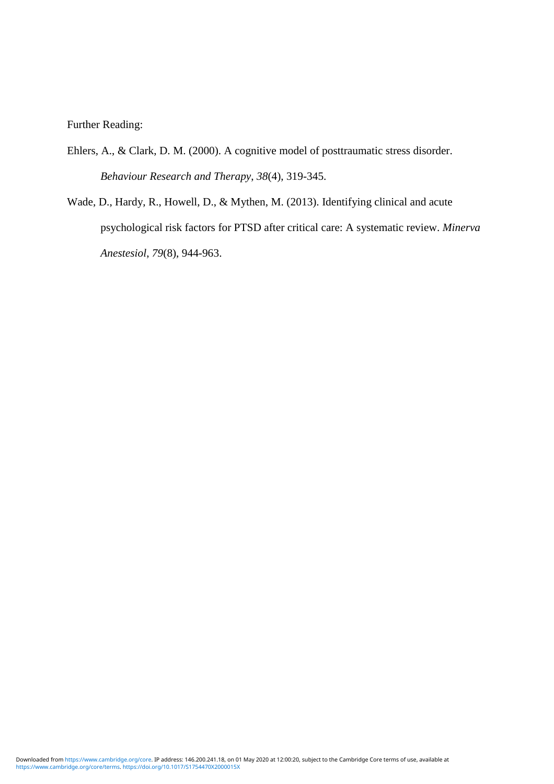Further Reading:

- Ehlers, A., & Clark, D. M. (2000). A cognitive model of posttraumatic stress disorder. *Behaviour Research and Therapy*, *38*(4), 319-345.
- Wade, D., Hardy, R., Howell, D., & Mythen, M. (2013). Identifying clinical and acute psychological risk factors for PTSD after critical care: A systematic review. *Minerva Anestesiol*, *79*(8), 944-963.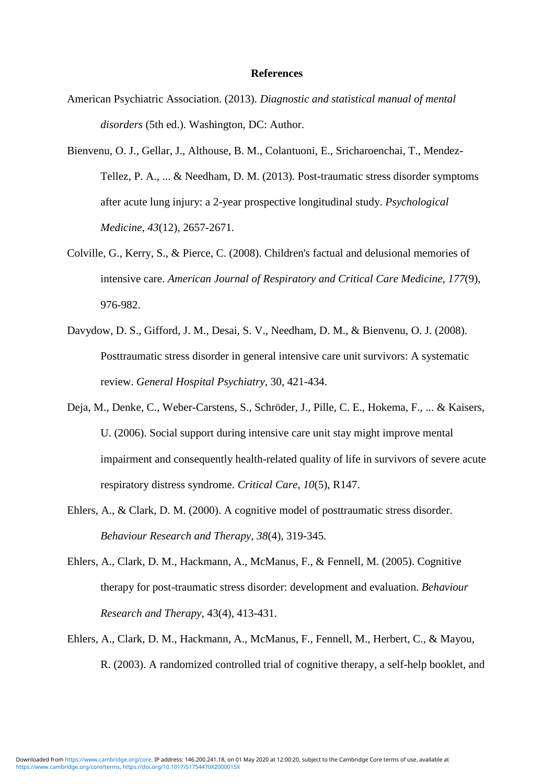#### **References**

- American Psychiatric Association. (2013). *Diagnostic and statistical manual of mental disorders* (5th ed.). Washington, DC: Author.
- Bienvenu, O. J., Gellar, J., Althouse, B. M., Colantuoni, E., Sricharoenchai, T., Mendez-Tellez, P. A., ... & Needham, D. M. (2013). Post-traumatic stress disorder symptoms after acute lung injury: a 2-year prospective longitudinal study. *Psychological Medicine*, *43*(12), 2657-2671.
- Colville, G., Kerry, S., & Pierce, C. (2008). Children's factual and delusional memories of intensive care. *American Journal of Respiratory and Critical Care Medicine*, *177*(9), 976-982.
- Davydow, D. S., Gifford, J. M., Desai, S. V., Needham, D. M., & Bienvenu, O. J. (2008). Posttraumatic stress disorder in general intensive care unit survivors: A systematic review. *General Hospital Psychiatry*, 30, 421-434.
- Deja, M., Denke, C., Weber-Carstens, S., Schröder, J., Pille, C. E., Hokema, F., ... & Kaisers, U. (2006). Social support during intensive care unit stay might improve mental impairment and consequently health-related quality of life in survivors of severe acute respiratory distress syndrome. *Critical Care*, *10*(5), R147.
- Ehlers, A., & Clark, D. M. (2000). A cognitive model of posttraumatic stress disorder. *Behaviour Research and Therapy*, *38*(4), 319-345.
- Ehlers, A., Clark, D. M., Hackmann, A., McManus, F., & Fennell, M. (2005). Cognitive therapy for post-traumatic stress disorder: development and evaluation. *Behaviour Research and Therapy*, 43(4), 413-431.
- Ehlers, A., Clark, D. M., Hackmann, A., McManus, F., Fennell, M., Herbert, C., & Mayou, R. (2003). A randomized controlled trial of cognitive therapy, a self-help booklet, and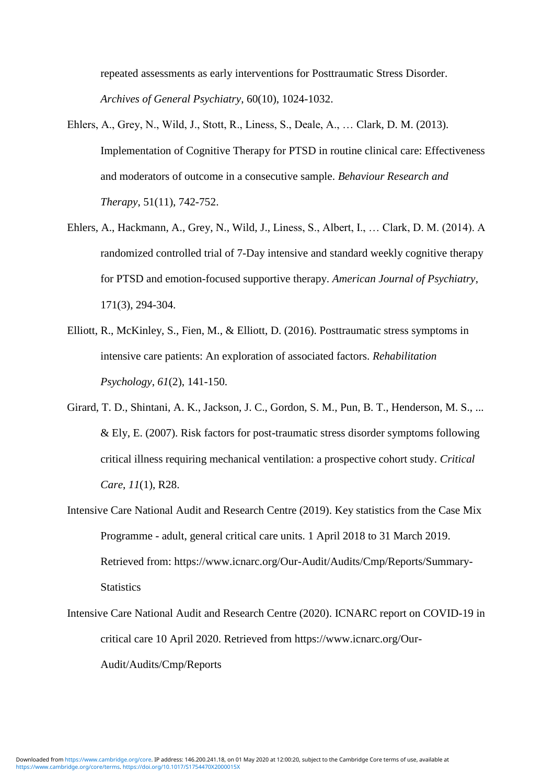repeated assessments as early interventions for Posttraumatic Stress Disorder. *Archives of General Psychiatry*, 60(10), 1024-1032.

- Ehlers, A., Grey, N., Wild, J., Stott, R., Liness, S., Deale, A., … Clark, D. M. (2013). Implementation of Cognitive Therapy for PTSD in routine clinical care: Effectiveness and moderators of outcome in a consecutive sample. *Behaviour Research and Therapy*, 51(11), 742-752.
- Ehlers, A., Hackmann, A., Grey, N., Wild, J., Liness, S., Albert, I., … Clark, D. M. (2014). A randomized controlled trial of 7-Day intensive and standard weekly cognitive therapy for PTSD and emotion-focused supportive therapy. *American Journal of Psychiatry*, 171(3), 294-304.
- Elliott, R., McKinley, S., Fien, M., & Elliott, D. (2016). Posttraumatic stress symptoms in intensive care patients: An exploration of associated factors. *Rehabilitation Psychology*, *61*(2), 141-150.
- Girard, T. D., Shintani, A. K., Jackson, J. C., Gordon, S. M., Pun, B. T., Henderson, M. S., ... & Ely, E. (2007). Risk factors for post-traumatic stress disorder symptoms following critical illness requiring mechanical ventilation: a prospective cohort study. *Critical Care*, *11*(1), R28.
- Intensive Care National Audit and Research Centre (2019). Key statistics from the Case Mix Programme - adult, general critical care units. 1 April 2018 to 31 March 2019. Retrieved from: https://www.icnarc.org/Our-Audit/Audits/Cmp/Reports/Summary-**Statistics**
- Intensive Care National Audit and Research Centre (2020). ICNARC report on COVID-19 in critical care 10 April 2020. Retrieved from https://www.icnarc.org/Our-Audit/Audits/Cmp/Reports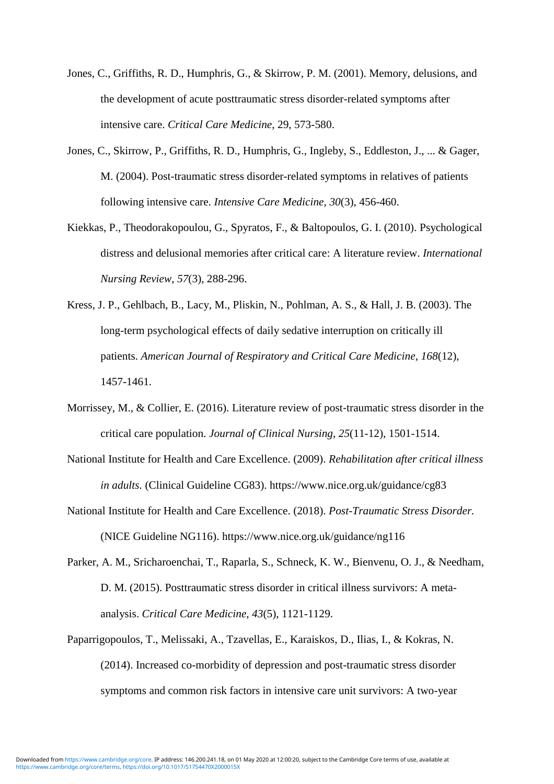- Jones, C., Griffiths, R. D., Humphris, G., & Skirrow, P. M. (2001). Memory, delusions, and the development of acute posttraumatic stress disorder-related symptoms after intensive care. *Critical Care Medicine*, 29, 573-580.
- Jones, C., Skirrow, P., Griffiths, R. D., Humphris, G., Ingleby, S., Eddleston, J., ... & Gager, M. (2004). Post-traumatic stress disorder-related symptoms in relatives of patients following intensive care. *Intensive Care Medicine*, *30*(3), 456-460.
- Kiekkas, P., Theodorakopoulou, G., Spyratos, F., & Baltopoulos, G. I. (2010). Psychological distress and delusional memories after critical care: A literature review. *International Nursing Review*, *57*(3), 288-296.
- Kress, J. P., Gehlbach, B., Lacy, M., Pliskin, N., Pohlman, A. S., & Hall, J. B. (2003). The long-term psychological effects of daily sedative interruption on critically ill patients. *American Journal of Respiratory and Critical Care Medicine*, *168*(12), 1457-1461.
- Morrissey, M., & Collier, E. (2016). Literature review of post-traumatic stress disorder in the critical care population. *Journal of Clinical Nursing*, *25*(11-12), 1501-1514.
- National Institute for Health and Care Excellence. (2009). *Rehabilitation after critical illness in adults.* (Clinical Guideline CG83). https://www.nice.org.uk/guidance/cg83
- National Institute for Health and Care Excellence. (2018). *Post-Traumatic Stress Disorder.* (NICE Guideline NG116). https://www.nice.org.uk/guidance/ng116
- Parker, A. M., Sricharoenchai, T., Raparla, S., Schneck, K. W., Bienvenu, O. J., & Needham, D. M. (2015). Posttraumatic stress disorder in critical illness survivors: A metaanalysis. *Critical Care Medicine*, *43*(5), 1121-1129.
- Paparrigopoulos, T., Melissaki, A., Tzavellas, E., Karaiskos, D., Ilias, I., & Kokras, N. (2014). Increased co-morbidity of depression and post-traumatic stress disorder symptoms and common risk factors in intensive care unit survivors: A two-year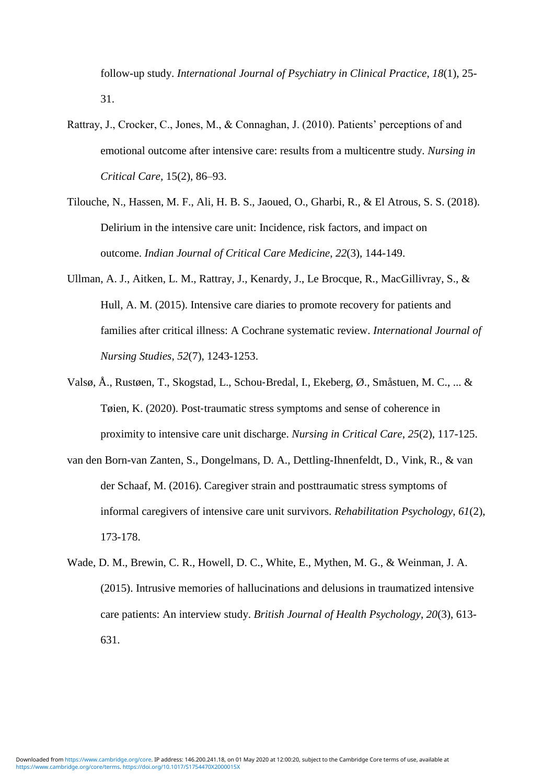follow-up study. *International Journal of Psychiatry in Clinical Practice*, *18*(1), 25- 31.

- Rattray, J., Crocker, C., Jones, M., & Connaghan, J. (2010). Patients' perceptions of and emotional outcome after intensive care: results from a multicentre study. *Nursing in Critical Care,* 15(2), 86–93.
- Tilouche, N., Hassen, M. F., Ali, H. B. S., Jaoued, O., Gharbi, R., & El Atrous, S. S. (2018). Delirium in the intensive care unit: Incidence, risk factors, and impact on outcome. *Indian Journal of Critical Care Medicine*, *22*(3), 144-149.
- Ullman, A. J., Aitken, L. M., Rattray, J., Kenardy, J., Le Brocque, R., MacGillivray, S., & Hull, A. M. (2015). Intensive care diaries to promote recovery for patients and families after critical illness: A Cochrane systematic review. *International Journal of Nursing Studies*, *52*(7), 1243-1253.
- Valsø, Å., Rustøen, T., Skogstad, L., Schou‐Bredal, I., Ekeberg, Ø., Småstuen, M. C., ... & Tøien, K. (2020). Post-traumatic stress symptoms and sense of coherence in proximity to intensive care unit discharge. *Nursing in Critical Care*, *25*(2), 117-125.
- van den Born-van Zanten, S., Dongelmans, D. A., Dettling-Ihnenfeldt, D., Vink, R., & van der Schaaf, M. (2016). Caregiver strain and posttraumatic stress symptoms of informal caregivers of intensive care unit survivors. *Rehabilitation Psychology*, *61*(2), 173-178.
- Wade, D. M., Brewin, C. R., Howell, D. C., White, E., Mythen, M. G., & Weinman, J. A. (2015). Intrusive memories of hallucinations and delusions in traumatized intensive care patients: An interview study. *British Journal of Health Psychology*, *20*(3), 613- 631.